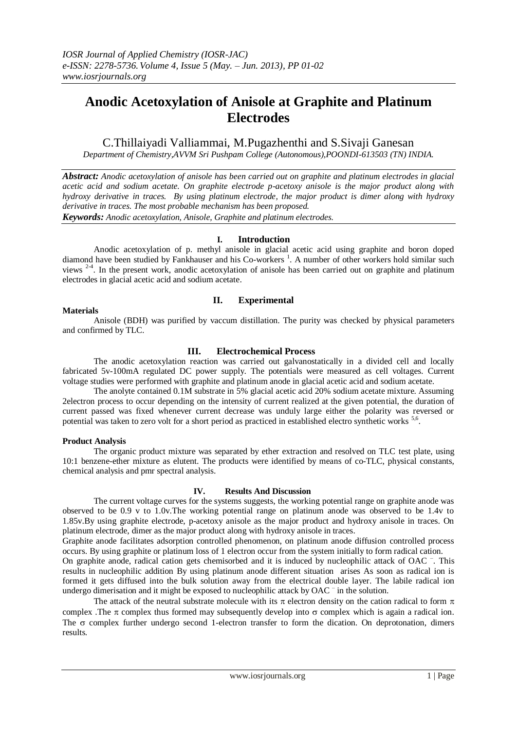# **Anodic Acetoxylation of Anisole at Graphite and Platinum Electrodes**

C.Thillaiyadi Valliammai, M.Pugazhenthi and S.Sivaji Ganesan

*Department of Chemistry,AVVM Sri Pushpam College (Autonomous),POONDI-613503 (TN) INDIA.*

*Abstract: Anodic acetoxylation of anisole has been carried out on graphite and platinum electrodes in glacial acetic acid and sodium acetate. On graphite electrode p-acetoxy anisole is the major product along with hydroxy derivative in traces. By using platinum electrode, the major product is dimer along with hydroxy derivative in traces. The most probable mechanism has been proposed.*

*Keywords: Anodic acetoxylation, Anisole, Graphite and platinum electrodes.*

# **I. Introduction**

Anodic acetoxylation of p. methyl anisole in glacial acetic acid using graphite and boron doped diamond have been studied by Fankhauser and his Co-workers<sup>1</sup>. A number of other workers hold similar such views <sup>2-4</sup>. In the present work, anodic acetoxylation of anisole has been carried out on graphite and platinum electrodes in glacial acetic acid and sodium acetate.

## **Materials**

# **II. Experimental**

Anisole (BDH) was purified by vaccum distillation. The purity was checked by physical parameters and confirmed by TLC.

## **III. Electrochemical Process**

The anodic acetoxylation reaction was carried out galvanostatically in a divided cell and locally fabricated 5v-100mA regulated DC power supply. The potentials were measured as cell voltages. Current voltage studies were performed with graphite and platinum anode in glacial acetic acid and sodium acetate.

The anolyte contained 0.1M substrate in 5% glacial acetic acid 20% sodium acetate mixture. Assuming 2electron process to occur depending on the intensity of current realized at the given potential, the duration of current passed was fixed whenever current decrease was unduly large either the polarity was reversed or potential was taken to zero volt for a short period as practiced in established electro synthetic works <sup>5,6</sup>.

#### **Product Analysis**

The organic product mixture was separated by ether extraction and resolved on TLC test plate, using 10:1 benzene-ether mixture as elutent. The products were identified by means of co-TLC, physical constants, chemical analysis and pmr spectral analysis.

# **IV. Results And Discussion**

The current voltage curves for the systems suggests, the working potential range on graphite anode was observed to be 0.9 v to 1.0v.The working potential range on platinum anode was observed to be 1.4v to 1.85v.By using graphite electrode, p-acetoxy anisole as the major product and hydroxy anisole in traces. On platinum electrode, dimer as the major product along with hydroxy anisole in traces.

Graphite anode facilitates adsorption controlled phenomenon, on platinum anode diffusion controlled process occurs. By using graphite or platinum loss of 1 electron occur from the system initially to form radical cation.

On graphite anode, radical cation gets chemisorbed and it is induced by nucleophilic attack of OAC <sup>-</sup>. This results in nucleophilic addition By using platinum anode different situation arises As soon as radical ion is formed it gets diffused into the bulk solution away from the electrical double layer. The labile radical ion undergo dimerisation and it might be exposed to nucleophilic attack by OAC <sup>-</sup> in the solution.

The attack of the neutral substrate molecule with its  $\pi$  electron density on the cation radical to form  $\pi$ complex. The  $\pi$  complex thus formed may subsequently develop into  $\sigma$  complex which is again a radical ion. The  $\sigma$  complex further undergo second 1-electron transfer to form the dication. On deprotonation, dimers results.